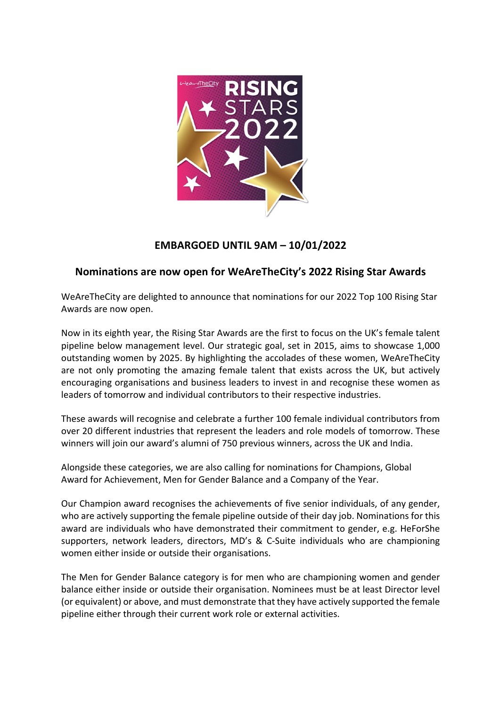

# **EMBARGOED UNTIL 9AM – 10/01/2022**

# **Nominations are now open for WeAreTheCity's 2022 Rising Star Awards**

WeAreTheCity are delighted to announce that nominations for our 2022 Top 100 Rising Star Awards are now open.

Now in its eighth year, the Rising Star Awards are the first to focus on the UK's female talent pipeline below management level. Our strategic goal, set in 2015, aims to showcase 1,000 outstanding women by 2025. By highlighting the accolades of these women, WeAreTheCity are not only promoting the amazing female talent that exists across the UK, but actively encouraging organisations and business leaders to invest in and recognise these women as leaders of tomorrow and individual contributors to their respective industries.

These awards will recognise and celebrate a further 100 female individual contributors from over 20 different industries that represent the leaders and role models of tomorrow. These winners will join our award's alumni of 750 previous winners, across the UK and India.

Alongside these categories, we are also calling for nominations for Champions, Global Award for Achievement, Men for Gender Balance and a Company of the Year.

Our Champion award recognises the achievements of five senior individuals, of any gender, who are actively supporting the female pipeline outside of their day job. Nominations for this award are individuals who have demonstrated their commitment to gender, e.g. HeForShe supporters, network leaders, directors, MD's & C-Suite individuals who are championing women either inside or outside their organisations.

The Men for Gender Balance category is for men who are championing women and gender balance either inside or outside their organisation. Nominees must be at least Director level (or equivalent) or above, and must demonstrate that they have actively supported the female pipeline either through their current work role or external activities.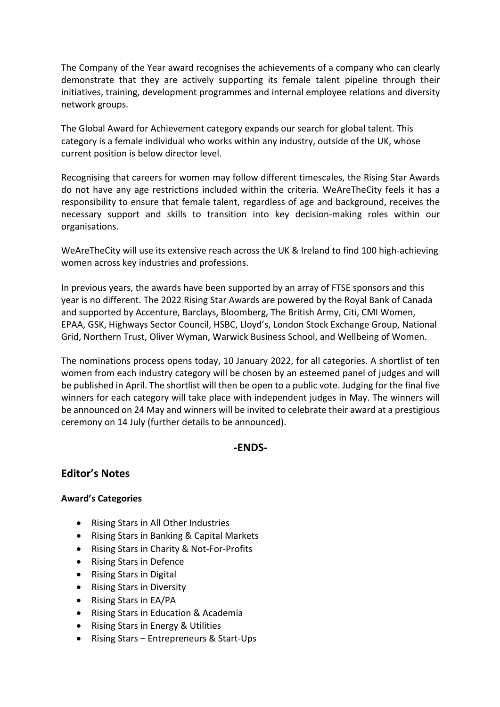The Company of the Year award recognises the achievements of a company who can clearly demonstrate that they are actively supporting its female talent pipeline through their initiatives, training, development programmes and internal employee relations and diversity network groups.

The Global Award for Achievement category expands our search for global talent. This category is a female individual who works within any industry, outside of the UK, whose current position is below director level.

Recognising that careers for women may follow different timescales, the Rising Star Awards do not have any age restrictions included within the criteria. WeAreTheCity feels it has a responsibility to ensure that female talent, regardless of age and background, receives the necessary support and skills to transition into key decision-making roles within our organisations.

WeAreTheCity will use its extensive reach across the UK & Ireland to find 100 high-achieving women across key industries and professions.

In previous years, the awards have been supported by an array of FTSE sponsors and this year is no different. The 2022 Rising Star Awards are powered by the Royal Bank of Canada and supported by Accenture, Barclays, Bloomberg, The British Army, Citi, CMI Women, EPAA, GSK, Highways Sector Council, HSBC, Lloyd's, London Stock Exchange Group, National Grid, Northern Trust, Oliver Wyman, Warwick Business School, and Wellbeing of Women.

The nominations process opens today, 10 January 2022, for all categories. A shortlist of ten women from each industry category will be chosen by an esteemed panel of judges and will be published in April. The shortlist will then be open to a public vote. Judging for the final five winners for each category will take place with independent judges in May. The winners will be announced on 24 May and winners will be invited to celebrate their award at a prestigious ceremony on 14 July (further details to be announced).

### **-ENDS-**

### **Editor's Notes**

### **Award's Categories**

- Rising Stars in All Other Industries
- Rising Stars in Banking & Capital Markets
- Rising Stars in Charity & Not-For-Profits
- Rising Stars in Defence
- Rising Stars in Digital
- Rising Stars in Diversity
- Rising Stars in EA/PA
- Rising Stars in Education & Academia
- Rising Stars in Energy & Utilities
- Rising Stars Entrepreneurs & Start-Ups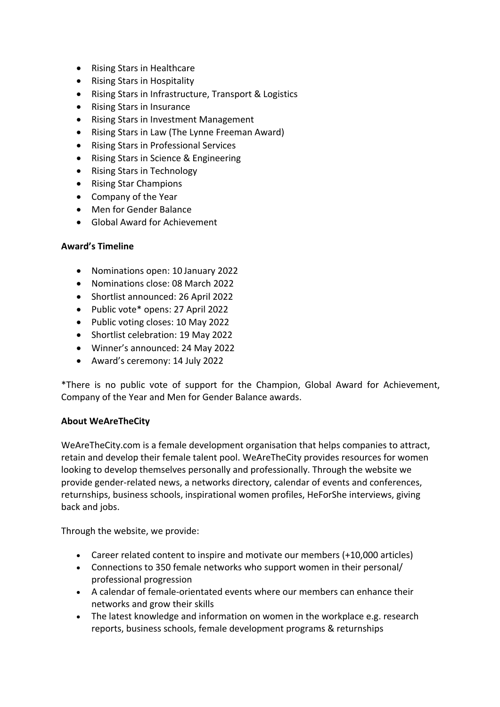- Rising Stars in Healthcare
- Rising Stars in Hospitality
- Rising Stars in Infrastructure, Transport & Logistics
- Rising Stars in Insurance
- Rising Stars in Investment Management
- Rising Stars in Law (The Lynne Freeman Award)
- Rising Stars in Professional Services
- Rising Stars in Science & Engineering
- Rising Stars in Technology
- Rising Star Champions
- Company of the Year
- Men for Gender Balance
- Global Award for Achievement

#### **Award's Timeline**

- Nominations open: 10 January 2022
- Nominations close: 08 March 2022
- Shortlist announced: 26 April 2022
- Public vote\* opens: 27 April 2022
- Public voting closes: 10 May 2022
- Shortlist celebration: 19 May 2022
- Winner's announced: 24 May 2022
- Award's ceremony: 14 July 2022

\*There is no public vote of support for the Champion, Global Award for Achievement, Company of the Year and Men for Gender Balance awards.

### **About WeAreTheCity**

WeAreTheCity.com is a female development organisation that helps companies to attract, retain and develop their female talent pool. WeAreTheCity provides resources for women looking to develop themselves personally and professionally. Through the website we provide gender-related news, a networks directory, calendar of events and conferences, returnships, business schools, inspirational women profiles, HeForShe interviews, giving back and jobs.

Through the website, we provide:

- Career related content to inspire and motivate our members (+10,000 articles)
- Connections to 350 female networks who support women in their personal/ professional progression
- A calendar of female-orientated events where our members can enhance their networks and grow their skills
- The latest knowledge and information on women in the workplace e.g. research reports, business schools, female development programs & returnships